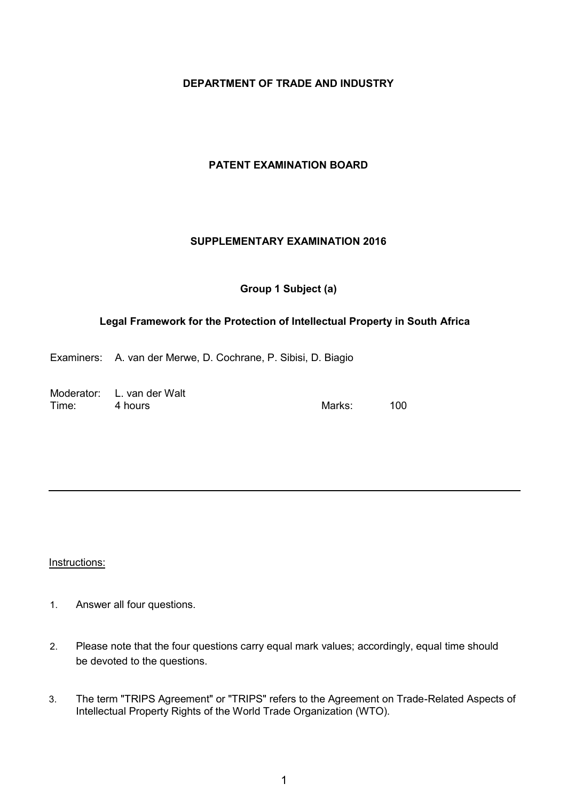## **DEPARTMENT OF TRADE AND INDUSTRY**

# **PATENT EXAMINATION BOARD**

## **SUPPLEMENTARY EXAMINATION 2016**

# **Group 1 Subject (a)**

# **Legal Framework for the Protection of Intellectual Property in South Africa**

Examiners: A. van der Merwe, D. Cochrane, P. Sibisi, D. Biagio

|       | Moderator: L. van der Walt |          |     |
|-------|----------------------------|----------|-----|
| Time: | 4 hours                    | Marks: . | 100 |

Instructions:

- 1. Answer all four questions.
- 2. Please note that the four questions carry equal mark values; accordingly, equal time should be devoted to the questions.
- 3. The term "TRIPS Agreement" or "TRIPS" refers to the Agreement on Trade-Related Aspects of Intellectual Property Rights of the World Trade Organization (WTO).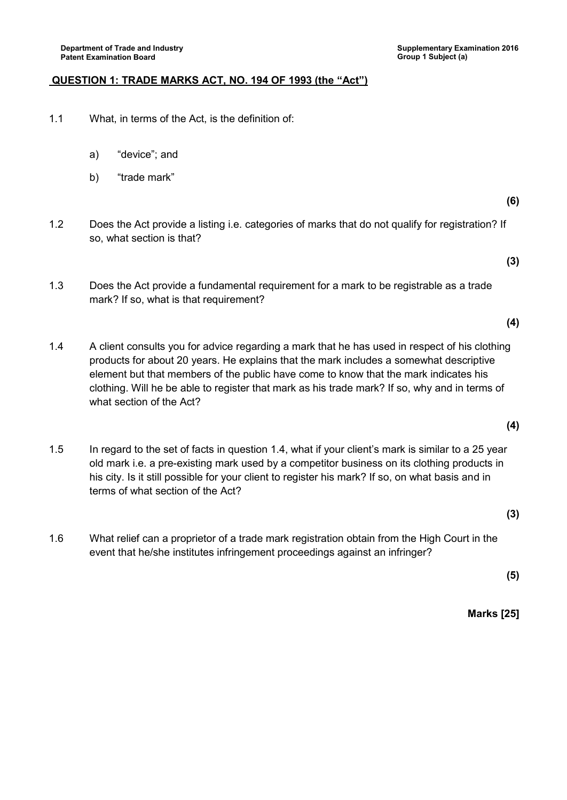#### **QUESTION 1: TRADE MARKS ACT, NO. 194 OF 1993 (the "Act")**

- 1.1 What, in terms of the Act, is the definition of:
	- a) "device"; and
	- b) "trade mark"

**(6)**

1.2 Does the Act provide a listing i.e. categories of marks that do not qualify for registration? If so, what section is that?

**(3)**

**(4)**

- 1.3 Does the Act provide a fundamental requirement for a mark to be registrable as a trade mark? If so, what is that requirement?
- 1.4 A client consults you for advice regarding a mark that he has used in respect of his clothing products for about 20 years. He explains that the mark includes a somewhat descriptive element but that members of the public have come to know that the mark indicates his clothing. Will he be able to register that mark as his trade mark? If so, why and in terms of what section of the Act?
- 1.5 In regard to the set of facts in question 1.4, what if your client's mark is similar to a 25 year old mark i.e. a pre-existing mark used by a competitor business on its clothing products in his city. Is it still possible for your client to register his mark? If so, on what basis and in terms of what section of the Act?
- 1.6 What relief can a proprietor of a trade mark registration obtain from the High Court in the event that he/she institutes infringement proceedings against an infringer?

**(5)**

**(3)**

**Marks [25]**

**(4)**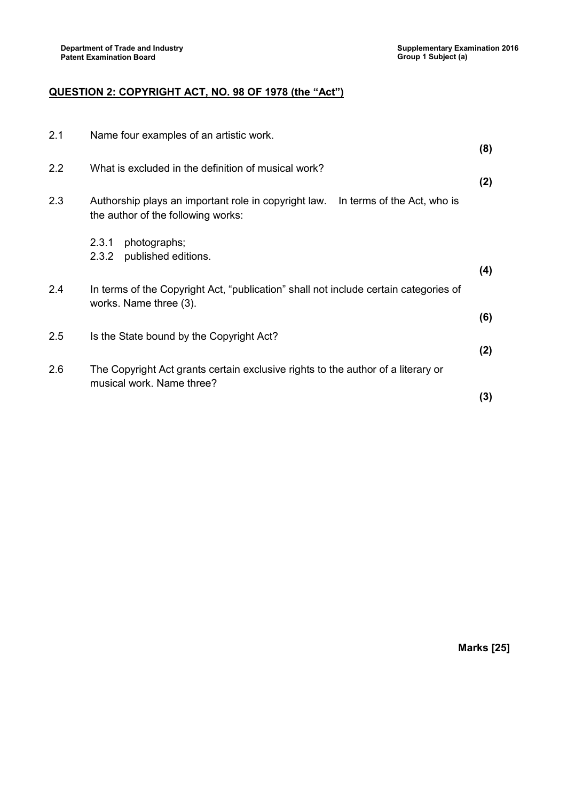# **QUESTION 2: COPYRIGHT ACT, NO. 98 OF 1978 (the "Act")**

| 2.1 | Name four examples of an artistic work.                                                                                   |     |
|-----|---------------------------------------------------------------------------------------------------------------------------|-----|
|     |                                                                                                                           | (8) |
| 2.2 | What is excluded in the definition of musical work?                                                                       |     |
|     |                                                                                                                           | (2) |
| 2.3 | Authorship plays an important role in copyright law.<br>In terms of the Act, who is<br>the author of the following works: |     |
|     | photographs;<br>2.3.1                                                                                                     |     |
|     | 2.3.2<br>published editions.                                                                                              | (4) |
| 2.4 | In terms of the Copyright Act, "publication" shall not include certain categories of<br>works. Name three (3).            |     |
|     |                                                                                                                           | (6) |
| 2.5 | Is the State bound by the Copyright Act?                                                                                  |     |
|     |                                                                                                                           | (2) |
| 2.6 | The Copyright Act grants certain exclusive rights to the author of a literary or<br>musical work. Name three?             |     |
|     |                                                                                                                           | (3) |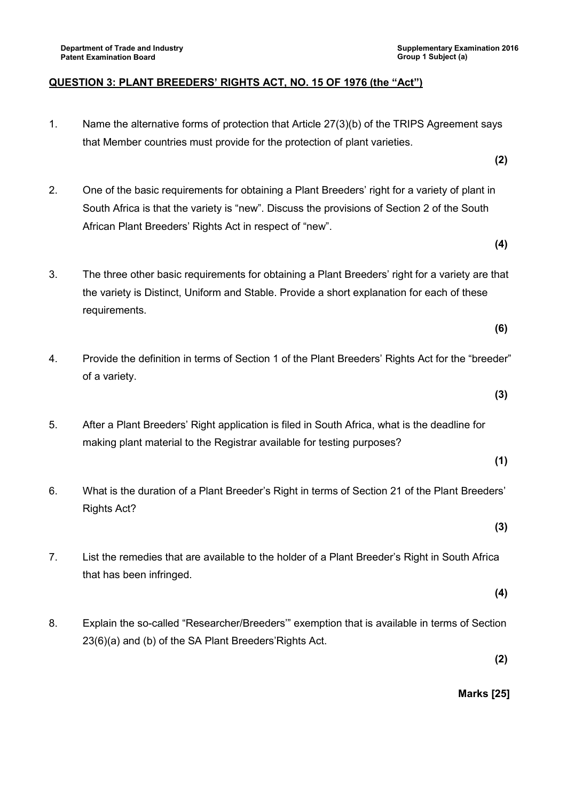## **QUESTION 3: PLANT BREEDERS' RIGHTS ACT, NO. 15 OF 1976 (the "Act")**

- 1. Name the alternative forms of protection that Article 27(3)(b) of the TRIPS Agreement says that Member countries must provide for the protection of plant varieties.
- 2. One of the basic requirements for obtaining a Plant Breeders' right for a variety of plant in South Africa is that the variety is "new". Discuss the provisions of Section 2 of the South African Plant Breeders' Rights Act in respect of "new".
	- **(4)**

**(6)**

**(3)**

**(1)**

**(3)**

**(2)**

- 3. The three other basic requirements for obtaining a Plant Breeders' right for a variety are that the variety is Distinct, Uniform and Stable. Provide a short explanation for each of these requirements.
- 4. Provide the definition in terms of Section 1 of the Plant Breeders' Rights Act for the "breeder" of a variety.
- 5. After a Plant Breeders' Right application is filed in South Africa, what is the deadline for making plant material to the Registrar available for testing purposes?
- 6. What is the duration of a Plant Breeder's Right in terms of Section 21 of the Plant Breeders' Rights Act?
- 7. List the remedies that are available to the holder of a Plant Breeder's Right in South Africa that has been infringed.
	- **(4)**
- 8. Explain the so-called "Researcher/Breeders'" exemption that is available in terms of Section 23(6)(a) and (b) of the SA Plant Breeders'Rights Act.

**(2)**

**Marks [25]**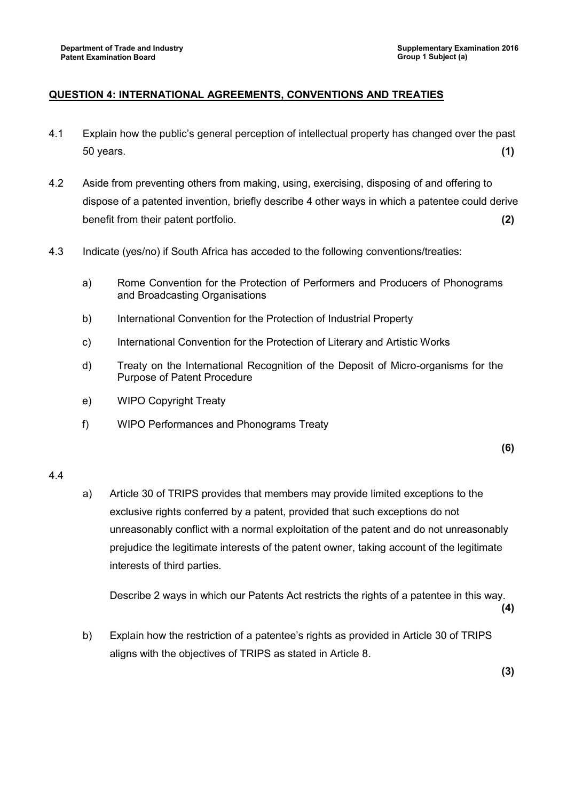# **QUESTION 4: INTERNATIONAL AGREEMENTS, CONVENTIONS AND TREATIES**

- 4.1 Explain how the public's general perception of intellectual property has changed over the past 50 years. **(1)**
- 4.2 Aside from preventing others from making, using, exercising, disposing of and offering to dispose of a patented invention, briefly describe 4 other ways in which a patentee could derive benefit from their patent portfolio. **(2)**
- 4.3 Indicate (yes/no) if South Africa has acceded to the following conventions/treaties:
	- a) Rome Convention for the Protection of Performers and Producers of Phonograms and Broadcasting Organisations
	- b) International Convention for the Protection of Industrial Property
	- c) International Convention for the Protection of Literary and Artistic Works
	- d) Treaty on the International Recognition of the Deposit of Micro-organisms for the Purpose of Patent Procedure
	- e) WIPO Copyright Treaty
	- f) WIPO Performances and Phonograms Treaty

**(6)**

#### 4.4

a) Article 30 of TRIPS provides that members may provide limited exceptions to the exclusive rights conferred by a patent, provided that such exceptions do not unreasonably conflict with a normal exploitation of the patent and do not unreasonably prejudice the legitimate interests of the patent owner, taking account of the legitimate interests of third parties.

Describe 2 ways in which our Patents Act restricts the rights of a patentee in this way.

**(4)**

b) Explain how the restriction of a patentee's rights as provided in Article 30 of TRIPS aligns with the objectives of TRIPS as stated in Article 8.

**(3)**